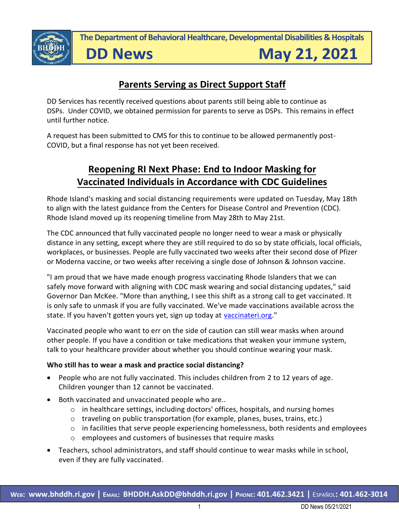

**The Department of Behavioral Healthcare, Developmental Disabilities & Hospitals**

# **DD News**

May 21, 2021

# **Parents Serving as Direct Support Staff**

DD Services has recently received questions about parents still being able to continue as DSPs. Under COVID, we obtained permission for parents to serve as DSPs. This remains in effect until further notice.

A request has been submitted to CMS for this to continue to be allowed permanently post-COVID, but a final response has not yet been received.

# **Reopening RI Next Phase: End to Indoor Masking for Vaccinated Individuals in Accordance with CDC Guidelines**

Rhode Island's masking and social distancing requirements were updated on Tuesday, May 18th to align with the latest guidance from the Centers for Disease Control and Prevention (CDC). Rhode Island moved up its reopening timeline from May 28th to May 21st.

The CDC announced that fully vaccinated people no longer need to wear a mask or physically distance in any setting, except where they are still required to do so by state officials, local officials, workplaces, or businesses. People are fully vaccinated two weeks after their second dose of Pfizer or Moderna vaccine, or two weeks after receiving a single dose of Johnson & Johnson vaccine.

"I am proud that we have made enough progress vaccinating Rhode Islanders that we can safely move forward with aligning with CDC mask wearing and social distancing updates," said Governor Dan McKee. "More than anything, I see this shift as a strong call to get vaccinated. It is only safe to unmask if you are fully vaccinated. We've made vaccinations available across the state. If you haven't gotten yours yet, sign up today at [vaccinateri.org.](https://www.vaccinateri.org/)"

Vaccinated people who want to err on the side of caution can still wear masks when around other people. If you have a condition or take medications that weaken your immune system, talk to your healthcare provider about whether you should continue wearing your mask.

#### **Who still has to wear a mask and practice social distancing?**

- People who are not fully vaccinated. This includes children from 2 to 12 years of age. Children younger than 12 cannot be vaccinated.
- Both vaccinated and unvaccinated people who are..
	- o in healthcare settings, including doctors' offices, hospitals, and nursing homes
	- $\circ$  traveling on public transportation (for example, planes, buses, trains, etc.)
	- $\circ$  in facilities that serve people experiencing homelessness, both residents and employees
	- o employees and customers of businesses that require masks
- Teachers, school administrators, and staff should continue to wear masks while in school, even if they are fully vaccinated.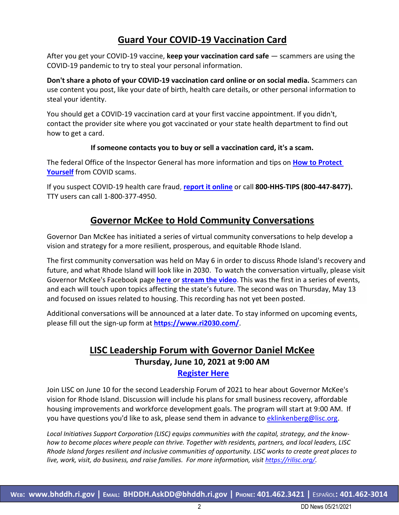## **Guard Your COVID-19 Vaccination Card**

After you get your COVID-19 vaccine, **keep your vaccination card safe** — scammers are using the COVID-19 pandemic to try to steal your personal information.

**Don't share a photo of your COVID-19 vaccination card online or on social media.** Scammers can use content you post, like your date of birth, health care details, or other personal information to steal your identity.

You should get a COVID-19 vaccination card at your first vaccine appointment. If you didn't, contact the provider site where you got vaccinated or your state health department to find out how to get a card.

#### **If someone contacts you to buy or sell a vaccination card, it's a scam.**

The federal Office of the Inspector General has more information and tips on **[How to Protect](https://oig.hhs.gov/fraud/consumer-alerts/fraud-alert-covid-19-scams/?utm_campaign=20210505_cvd_frd_gal_v2&utm_content=english&utm_medium=email&utm_source=govdelivery)  [Yourself](https://oig.hhs.gov/fraud/consumer-alerts/fraud-alert-covid-19-scams/?utm_campaign=20210505_cvd_frd_gal_v2&utm_content=english&utm_medium=email&utm_source=govdelivery)** from COVID scams.

If you suspect COVID-19 health care fraud, **[report it online](https://urldefense.com/v3/__https:/lnks.gd/l/eyJhbGciOiJIUzI1NiJ9.eyJidWxsZXRpbl9saW5rX2lkIjoxMDIsInVyaSI6ImJwMjpjbGljayIsImJ1bGxldGluX2lkIjoiMjAyMTA1MDUuMzk5Njc4MjEiLCJ1cmwiOiJodHRwczovL29pZy5oaHMuZ292L2ZyYXVkL3JlcG9ydC1mcmF1ZC8_dXRtX2NhbXBhaWduPTIwMjEwNTA1X2N2ZF9mcmRfZ2FsX3YyJnV0bV9jb250ZW50PWVuZ2xpc2gmdXRtX21lZGl1bT1lbWFpbCZ1dG1fc291cmNlPWdvdmRlbGl2ZXJ5In0.iJ9ZGes1AdWJCrPLbg4Up7BflX3rSSBBDGxq2v1LU4g/s/1191193251/br/105904864766-l__;!!KKphUJtCzQ!cYeP5TYzFtCsGPz9Sk44xClFRStkJbQeEOI7kW_DKUwysTMSvi-iMHVGNeRK2jHaCMcOn_alaVy_$)** or call **800-HHS-TIPS (800-447-8477).** TTY users can call 1-800-377-4950.

### **Governor McKee to Hold Community Conversations**

Governor Dan McKee has initiated a series of virtual community conversations to help develop a vision and strategy for a more resilient, prosperous, and equitable Rhode Island.

The first community conversation was held on May 6 in order to discuss Rhode Island's recovery and future, and what Rhode Island will look like in 2030. To watch the conversation virtually, please visit Governor McKee's Facebook page **[here](https://www.facebook.com/GovDanMckee)** or **[stream the video](https://youtu.be/5_p45mdrU80)**. This was the first in a series of events, and each will touch upon topics affecting the state's future. The second was on Thursday, May 13 and focused on issues related to housing. This recording has not yet been posted.

Additional conversations will be announced at a later date. To stay informed on upcoming events, please fill out the sign-up form at **<https://www.ri2030.com/>**.

#### **LISC Leadership Forum with Governor Daniel McKee Thursday, June 10, 2021 at 9:00 AM [Register Here](https://urldefense.com/v3/__https:/r20.rs6.net/tn.jsp?f=001sQbku_KNbPlIv8gv0rhtnh8L4ituuYBP7nt488-_J8-VcU0iGaKzffZwKuEEBu-EqeJWekcY3vG_9ChT3eX8sBfuumbRWhaVrjvpbE1O4CVQ-fdRBfHBNsH8J9Jn0x0K65vXNNRdeKxmGq4I8b7ZtzXLBZy9RD6_MSmVdeLkCTyf1phy-UwynRqixPqsQEYZANoHjNdu7T0TBiSEOVOjU17ioYqL7PwkQIl9jo0pL-i__Viiyb1hiNb00DP_Pt1l&c=wwuakcYHVu6gjczqDiResRcbsdYaGBJbgHZ4EL9YCXttifr2hOj_xA==&ch=rT4QdmIMiAI6dfDZh5u2w1m8sTLJ9KqhOmrarNm8FM0p-bByMNgLlg==&jrc=1__;!!KKphUJtCzQ!b0awAvGGg2yYL4VWPWlhW2lI2a17rLqCJCTLEqgAZOgZZo9hMTGDywII9GRZmn6A5Vf7zhj8-Q$)**

Join LISC on June 10 for the second Leadership Forum of 2021 to hear about Governor McKee's vision for Rhode Island. Discussion will include his plans for small business recovery, affordable housing improvements and workforce development goals. The program will start at 9:00 AM. If you have questions you'd like to ask, please send them in advance to [eklinkenberg@lisc.org.](mailto:eklinkenberg@lisc.org)

*Local Initiatives Support Corporation (LISC) equips communities with the capital, strategy, and the knowhow to become places where people can thrive. Together with residents, partners, and local leaders, LISC Rhode Island forges resilient and inclusive communities of opportunity. LISC works to create great places to live, work, visit, do business, and raise families. For more information, visit [https://rilisc.org/.](https://rilisc.org/)*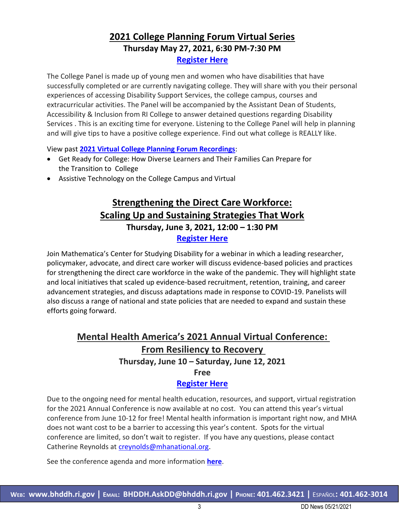### **2021 College Planning Forum Virtual Series Thursday May 27, 2021, 6:30 PM-7:30 PM [Register Here](https://urldefense.com/v3/__https:/docs.google.com/forms/d/1cf596zbF0YhbXdDupC2byocR0OxO2b5_qdrLdH5gbTU/edit__;!!KKphUJtCzQ!cd3RMzr-ThdRjwb6ac5ZCcp0yHShcp0r5ZRzPMEjxphvyFOVx9jiPr9N2nAz-0y4fpdx6PDY$)**

The College Panel is made up of young men and women who have disabilities that have successfully completed or are currently navigating college. They will share with you their personal experiences of accessing Disability Support Services, the college campus, courses and extracurricular activities. The Panel will be accompanied by the Assistant Dean of Students, Accessibility & Inclusion from RI College to answer detained questions regarding Disability Services . This is an exciting time for everyone. Listening to the College Panel will help in planning and will give tips to have a positive college experience. Find out what college is REALLY like.

View past **[2021 Virtual College Planning Forum Recordings](https://urldefense.com/v3/__https:/docs.google.com/document/d/1H9SkkerGvFbdwlRwBrAIMR3kWLo4O-sooQxMMPBlL8w/edit__;!!KKphUJtCzQ!cd3RMzr-ThdRjwb6ac5ZCcp0yHShcp0r5ZRzPMEjxphvyFOVx9jiPr9N2nAz-0y4flt3zhrh$)**:

- Get Ready for College: How Diverse Learners and Their Families Can Prepare for the Transition to College
- Assistive Technology on the College Campus and Virtual

### **Strengthening the Direct Care Workforce: Scaling Up and Sustaining Strategies That Work Thursday, June 3, 2021, 12:00 – 1:30 PM [Register Here](https://bit.ly/3eAmtBe%20%5bnam04.safelinks.protection.outlook.com%5d)**

Join Mathematica's Center for Studying Disability for a webinar in which a leading researcher, policymaker, advocate, and direct care worker will discuss evidence-based policies and practices for strengthening the direct care workforce in the wake of the pandemic. They will highlight state and local initiatives that scaled up evidence-based recruitment, retention, training, and career advancement strategies, and discuss adaptations made in response to COVID-19. Panelists will also discuss a range of national and state policies that are needed to expand and sustain these efforts going forward.

## **Mental Health America's 2021 Annual Virtual Conference: From Resiliency to Recovery Thursday, June 10 – Saturday, June 12, 2021**

**Free**

#### **[Register Here](https://www.eventbrite.com/e/mhas-2021-annual-conference-from-resiliency-to-recovery-registration-147134999745)**

Due to the ongoing need for mental health education, resources, and support, virtual registration for the 2021 Annual Conference is now available at no cost. You can attend this year's virtual conference from June 10-12 for free! Mental health information is important right now, and MHA does not want cost to be a barrier to accessing this year's content. Spots for the virtual conference are limited, so don't wait to register. If you have any questions, please contact Catherine Reynolds at [creynolds@mhanational.org.](mailto:creynolds@mhanational.org)

See the conference agenda and more information **[here](https://www.mhanational.org/2021/annual-conference/agenda)**.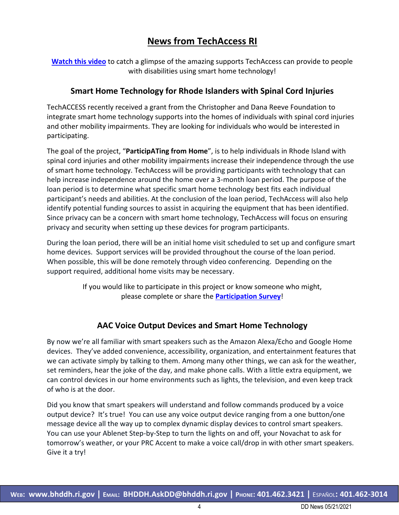### **News from TechAccess RI**

**[Watch this video](https://urldefense.com/v3/__http:/r20.rs6.net/tn.jsp?f=001srPcW8P7liKSDplx0NoQIITcbbo5Cla7TPXDKPGEN8bOKdZRqJjdgaWEPza4M6ScobeIC6DAIkAum0nbnhZsLG-uCferUfPPZu6bNGQNgSVp4kCv-L18hBSxg1qPCQ7GcL3zuZlXSr6b4D9DoLW43UuJRKDulWu_vZRfNw19JGbvFcmD_ZJrVw==&c=ywTMOlAJSDD_uCJbSXXFJqJCwMAxC8P4kApiFUbVnlbsi5Rooe62oQ==&ch=yFejIEUqYocNODHxWApBS5dc1X0scLh_J9ChrdsAqtrIqczBrmiqlQ==__;!!KKphUJtCzQ!Yjbe2gonys9j3wFWvoBJ1NFzfiJ5qKkpHiWlbX_T9x7i7c1LLhD8RSXa8UB0hPNo6l_y31-s$)** to catch a glimpse of the amazing supports TechAccess can provide to people with disabilities using smart home technology!

#### **Smart Home Technology for Rhode Islanders with Spinal Cord Injuries**

TechACCESS recently received a grant from the Christopher and Dana Reeve Foundation to integrate smart home technology supports into the homes of individuals with spinal cord injuries and other mobility impairments. They are looking for individuals who would be interested in participating.

The goal of the project, "**ParticipATing from Home**", is to help individuals in Rhode Island with spinal cord injuries and other mobility impairments increase their independence through the use of smart home technology. TechAccess will be providing participants with technology that can help increase independence around the home over a 3-month loan period. The purpose of the loan period is to determine what specific smart home technology best fits each individual participant's needs and abilities. At the conclusion of the loan period, TechAccess will also help identify potential funding sources to assist in acquiring the equipment that has been identified. Since privacy can be a concern with smart home technology, TechAccess will focus on ensuring privacy and security when setting up these devices for program participants.

During the loan period, there will be an initial home visit scheduled to set up and configure smart home devices. Support services will be provided throughout the course of the loan period. When possible, this will be done remotely through video conferencing. Depending on the support required, additional home visits may be necessary.

> If you would like to participate in this project or know someone who might, please complete or share the **[Participation Survey](https://urldefense.com/v3/__http:/r20.rs6.net/tn.jsp?f=001srPcW8P7liKSDplx0NoQIITcbbo5Cla7TPXDKPGEN8bOKdZRqJjdgaWEPza4M6Sc2ADHYzj2pJULrV-Ae3GWkQUJlw-iSMvGlJtj3kHYtMyfzyS0rJeORpSoYEDU79nux4nrUu71BImnmRYdkR86aB4xgpT-TAzwmcocT_dL55739ryqxz_fFw==&c=ywTMOlAJSDD_uCJbSXXFJqJCwMAxC8P4kApiFUbVnlbsi5Rooe62oQ==&ch=yFejIEUqYocNODHxWApBS5dc1X0scLh_J9ChrdsAqtrIqczBrmiqlQ==__;!!KKphUJtCzQ!Yjbe2gonys9j3wFWvoBJ1NFzfiJ5qKkpHiWlbX_T9x7i7c1LLhD8RSXa8UB0hPNo6gO-LTBe$)**!

#### **AAC Voice Output Devices and Smart Home Technology**

By now we're all familiar with smart speakers such as the Amazon Alexa/Echo and Google Home devices. They've added convenience, accessibility, organization, and entertainment features that we can activate simply by talking to them. Among many other things, we can ask for the weather, set reminders, hear the joke of the day, and make phone calls. With a little extra equipment, we can control devices in our home environments such as lights, the television, and even keep track of who is at the door.

Did you know that smart speakers will understand and follow commands produced by a voice output device? It's true! You can use any voice output device ranging from a one button/one message device all the way up to complex dynamic display devices to control smart speakers. You can use your Ablenet Step-by-Step to turn the lights on and off, your Novachat to ask for tomorrow's weather, or your PRC Accent to make a voice call/drop in with other smart speakers. Give it a try!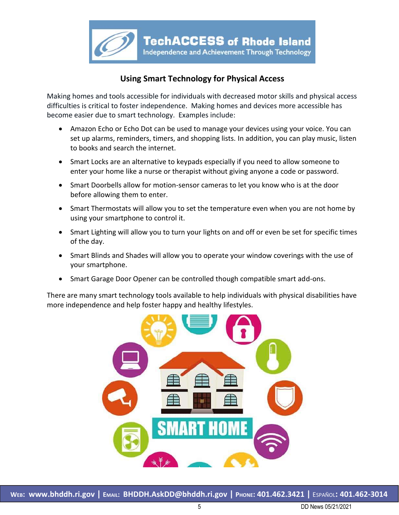

#### **Using Smart Technology for Physical Access**

Making homes and tools accessible for individuals with decreased motor skills and physical access difficulties is critical to foster independence. Making homes and devices more accessible has become easier due to smart technology. Examples include:

- Amazon Echo or Echo Dot can be used to manage your devices using your voice. You can set up alarms, reminders, timers, and shopping lists. In addition, you can play music, listen to books and search the internet.
- Smart Locks are an alternative to keypads especially if you need to allow someone to enter your home like a nurse or therapist without giving anyone a code or password.
- Smart Doorbells allow for motion-sensor cameras to let you know who is at the door before allowing them to enter.
- Smart Thermostats will allow you to set the temperature even when you are not home by using your smartphone to control it.
- Smart Lighting will allow you to turn your lights on and off or even be set for specific times of the day.
- Smart Blinds and Shades will allow you to operate your window coverings with the use of your smartphone.
- Smart Garage Door Opener can be controlled though compatible smart add-ons.

There are many smart technology tools available to help individuals with physical disabilities have more independence and help foster happy and healthy lifestyles.

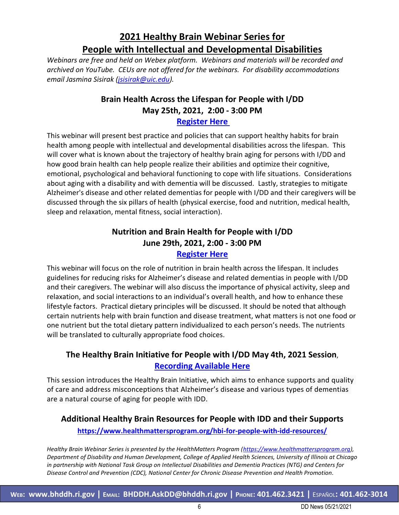# **2021 Healthy Brain Webinar Series for People with Intellectual and Developmental Disabilities**

*Webinars are free and held on Webex platform. Webinars and materials will be recorded and archived on YouTube. CEUs are not offered for the webinars. For disability accommodations email Jasmina Sisirak [\(jsisirak@uic.edu\)](mailto:jsisirak@uic.edu).*

### **Brain Health Across the Lifespan for People with I/DD May 25th, 2021, 2:00 - 3:00 PM**

#### **[Register Here](https://urldefense.com/v3/__https:/nam04.safelinks.protection.outlook.com/?url=https*3A*2F*2Fuichicago.webex.com*2Fuichicago*2Fonstage*2Fg.php*3FMTID*3Dee625cb88a28b9f6ce0e44cec0cda26c3&data=04*7C01*7Chmalerts*40listserv.uic.edu*7C463a19134fe6440f42c108d913c6e846*7Ce202cd477a564baa99e3e3b71a7c77dd*7C0*7C0*7C637562567281921042*7CUnknown*7CTWFpbGZsb3d8eyJWIjoiMC4wLjAwMDAiLCJQIjoiV2luMzIiLCJBTiI6Ik1haWwiLCJXVCI6Mn0*3D*7C1000&sdata=r8io9SYPS*2FhzaUyBdnuO3qUoA5YlH0poqEbEDMh*2BYoM*3D&reserved=0__;JSUlJSUlJSUlJSUlJSUlJSUlJSUlJSU!!KKphUJtCzQ!c-_rmztB7T9UCjMAjU-8wmqJt7VLVrxBat_rJJeVDipioLxBsskSIg1Ko8NolCOmyJOG7Z0$)**

This webinar will present best practice and policies that can support healthy habits for brain health among people with intellectual and developmental disabilities across the lifespan. This will cover what is known about the trajectory of healthy brain aging for persons with I/DD and how good brain health can help people realize their abilities and optimize their cognitive, emotional, psychological and behavioral functioning to cope with life situations. Considerations about aging with a disability and with dementia will be discussed. Lastly, strategies to mitigate Alzheimer's disease and other related dementias for people with I/DD and their caregivers will be discussed through the six pillars of health (physical exercise, food and nutrition, medical health, sleep and relaxation, mental fitness, social interaction).

#### **Nutrition and Brain Health for People with I/DD June 29th, 2021, 2:00 - 3:00 PM [Register Here](https://urldefense.com/v3/__https:/nam04.safelinks.protection.outlook.com/?url=https*3A*2F*2Fuichicago.webex.com*2Fuichicago*2Fonstage*2Fg.php*3FMTID*3Deca61e3c80bcb32720471aca72d680e9d&data=04*7C01*7Chmalerts*40listserv.uic.edu*7C463a19134fe6440f42c108d913c6e846*7Ce202cd477a564baa99e3e3b71a7c77dd*7C0*7C0*7C637562567281921042*7CUnknown*7CTWFpbGZsb3d8eyJWIjoiMC4wLjAwMDAiLCJQIjoiV2luMzIiLCJBTiI6Ik1haWwiLCJXVCI6Mn0*3D*7C1000&sdata=*2Bw2DdbdytvYRhpHTJXJuLvdXxi3ZTGk*2FWMzrRIV7d8o*3D&reserved=0__;JSUlJSUlJSUlJSUlJSUlJSUlJSUlJSU!!KKphUJtCzQ!c-_rmztB7T9UCjMAjU-8wmqJt7VLVrxBat_rJJeVDipioLxBsskSIg1Ko8NolCOmBWZuVSM$)**

This webinar will focus on the role of nutrition in brain health across the lifespan. It includes guidelines for reducing risks for Alzheimer's disease and related dementias in people with I/DD and their caregivers. The webinar will also discuss the importance of physical activity, sleep and relaxation, and social interactions to an individual's overall health, and how to enhance these lifestyle factors. Practical dietary principles will be discussed. It should be noted that although certain nutrients help with brain function and disease treatment, what matters is not one food or one nutrient but the total dietary pattern individualized to each person's needs. The nutrients will be translated to culturally appropriate food choices.

#### **The Healthy Brain Initiative for People with I/DD May 4th, 2021 Session**, **Recording [Available Here](https://urldefense.com/v3/__https:/nam04.safelinks.protection.outlook.com/?url=https*3A*2F*2Fwww.youtube.com*2Fwatch*3Fv*3DreZKbV4NT-c*26list*3DPLVlDGGNnuQQ0ACAED8pQxs3SILDoACigy*26index*3D1*26t*3D1s&data=04*7C01*7Chmalerts*40listserv.uic.edu*7C463a19134fe6440f42c108d913c6e846*7Ce202cd477a564baa99e3e3b71a7c77dd*7C0*7C0*7C637562567281930998*7CUnknown*7CTWFpbGZsb3d8eyJWIjoiMC4wLjAwMDAiLCJQIjoiV2luMzIiLCJBTiI6Ik1haWwiLCJXVCI6Mn0*3D*7C1000&sdata=c*2FEbKQhkQaEJGoCgqnlgeFDxhzv*2FhqHEzI99v6oFM1o*3D&reserved=0__;JSUlJSUlJSUlJSUlJSUlJSUlJSUlJSUlJSUl!!KKphUJtCzQ!c-_rmztB7T9UCjMAjU-8wmqJt7VLVrxBat_rJJeVDipioLxBsskSIg1Ko8NolCOmpcf8-eI$)**

This session introduces the Healthy Brain Initiative, which aims to enhance supports and quality of care and address misconceptions that Alzheimer's disease and various types of dementias are a natural course of aging for people with IDD.

#### **Additional Healthy Brain Resources for People with IDD and their Supports <https://www.healthmattersprogram.org/hbi-for-people-with-idd-resources/>**

*Healthy Brain Webinar Series is presented by the HealthMatters Program [\(https://www.healthmattersprogram.org\)](https://www.healthmattersprogram.org/), Department of Disability and Human Development, College of Applied Health Sciences, University of Illinois at Chicago in partnership with National Task Group on Intellectual Disabilities and Dementia Practices (NTG) and Centers for Disease Control and Prevention (CDC), National Center for Chronic Disease Prevention and Health Promotion.*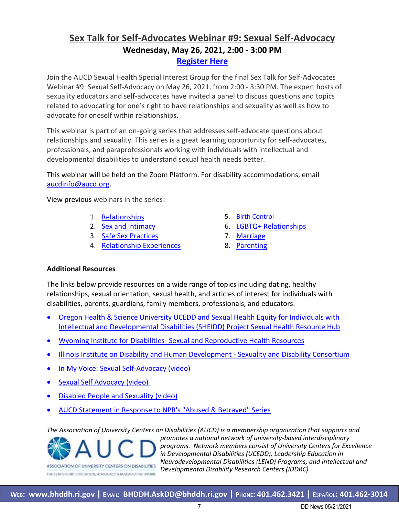### **Sex Talk for Self-Advocates Webinar #9: Sexual Self-Advocacy Wednesday, May 26, 2021, 2:00 - 3:00 PM [Register Here](https://www.aucd.org/template/event.cfm?event_id=8836&id=379&parent=379)**

Join the AUCD Sexual Health Special Interest Group for the final Sex Talk for Self-Advocates Webinar #9: Sexual Self-Advocacy on May 26, 2021, from 2:00 - 3:30 PM. The expert hosts of sexuality educators and self-advocates have invited a panel to discuss questions and topics related to advocating for one's right to have relationships and sexuality as well as how to advocate for oneself within relationships.

This webinar is part of an on-going series that addresses self-advocate questions about relationships and sexuality. This series is a great learning opportunity for self-advocates, professionals, and paraprofessionals working with individuals with intellectual and developmental disabilities to understand sexual health needs better.

This webinar will be held on the Zoom Platform. For disability accommodations, email [aucdinfo@aucd.org.](mailto:aucdinfo@aucd.org)

View previous webinars in the series:

- 1. [Relationships](http://bit.ly/SexTalkSeries1) 5. [Birth Control](http://bit.ly/SexTalkSeries5)
- 
- 3. [Safe Sex Practices](http://bit.ly/SexTalkSeries3) 7. [Marriage](http://bit.ly/SexTalkSeries7)
- 4. [Relationship Experiences](http://bit.ly/SexTalkSeries4) 8. [Parenting](http://bit.ly/SexTalkSeries8)
- 
- 2. [Sex and Intimacy](http://bit.ly/SexTalkSeries2) 6. [LGBTQ+ Relationships](http://bit.ly/SexTalkSeries6)
	-
	-

#### **Additional Resources**

The links below provide resources on a wide range of topics including dating, healthy relationships, sexual orientation, sexual health, and articles of interest for individuals with disabilities, parents, guardians, family members, professionals, and educators.

- [Oregon Health & Science University UCEDD and Sexual Health Equity for Individuals with](https://www.ohsu.edu/university-center-excellence-development-disability/sexual-health-resources) [Intellectual and Developmental Disabilities \(SHEIDD\) Project Sexual Health Resource Hub](https://www.ohsu.edu/university-center-excellence-development-disability/sexual-health-resources)
- Wyoming Institute for Disabilities- [Sexual and Reproductive Health Resources](http://www.uwyo.edu/wind/srh/resources/index.html)
- [Illinois Institute on Disability and Human Development -](http://sdc.ahslabs.uic.edu/resources/) Sexuality and Disability Consortium
- [In My Voice: Sexual Self-Advocacy \(video\)](https://youtu.be/M5Q5hW62M4Y)
- [Sexual Self Advocacy \(video\)](https://youtu.be/VL2NOTtD3C0)

THE LEADERSHIP, EDUCATION, ADVOCACY & RESEARCH NETWORK

- [Disabled People and Sexuality \(video\)](https://www.youtube.com/watch?v=aQqM2MRCSi8&oref=https%3A%2F%2Fwww.youtube.com%2Fwatch%3Fv%3DaQqM2MRCSi8&has_verified=1)
- [AUCD Statement in Response to NPR's "Abused & Betrayed" Series](https://www.aucd.org/template/news.cfm?news_id=13276&id=17)

*The Association of University Centers on Disabilities (AUCD) is a membership organization that supports and promotes a national network of university-based interdisciplinary programs. Network members consist of University Centers for Excellence in Developmental Disabilities (UCEDD), Leadership Education in Neurodevelopmental Disabilities (LEND) Programs, and Intellectual and*  ASSOCIATION OF UNIVERSITY CENTERS ON DISABILITIES *Developmental Disability Research Centers (IDDRC)*

**WEB: [www.bhddh.ri.gov](http://www.bhddh.ri.gov/) | EMAIL: [BHDDH.AskDD@bhddh.ri.gov](mailto:BHDDH.AskDD@bhddh.ri.gov) | PHONE: 401.462.3421 |** ESPAÑOL**: 401.462-3014**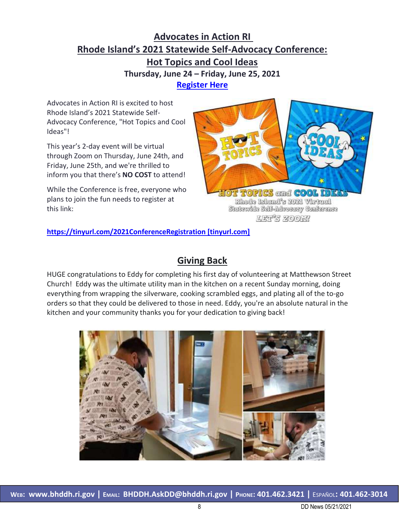## **Advocates in Action RI Rhode Island's 2021 Statewide Self-Advocacy Conference: Hot Topics and Cool Ideas Thursday, June 24 – Friday, June 25, 2021 [Register Here](https://urldefense.com/v3/__https:/tinyurl.com/2021ConferenceRegistration__;!!KKphUJtCzQ!Y05ub69ArHNYDLzj45UVUu4ZkxhmF_ja-4aJVHWugco6piqqS-7WOf7-9eAyebiF7Ghicdg$)**

Advocates in Action RI is excited to host Rhode Island's 2021 Statewide Self-Advocacy Conference, "Hot Topics and Cool Ideas"!

This year's 2-day event will be virtual through Zoom on Thursday, June 24th, and Friday, June 25th, and we're thrilled to inform you that there's **NO COST** to attend!

While the Conference is free, everyone who plans to join the fun needs to register at this link:



**[https://tinyurl.com/2021ConferenceRegistration \[tinyurl.com\]](https://urldefense.com/v3/__https:/tinyurl.com/2021ConferenceRegistration__;!!KKphUJtCzQ!Y05ub69ArHNYDLzj45UVUu4ZkxhmF_ja-4aJVHWugco6piqqS-7WOf7-9eAyebiF7Ghicdg$)**

## **Giving Back**

HUGE congratulations to Eddy for completing his first day of volunteering at Matthewson Street Church! Eddy was the ultimate utility man in the kitchen on a recent Sunday morning, doing everything from wrapping the silverware, cooking scrambled eggs, and plating all of the to-go orders so that they could be delivered to those in need. Eddy, you're an absolute natural in the kitchen and your community thanks you for your dedication to giving back!

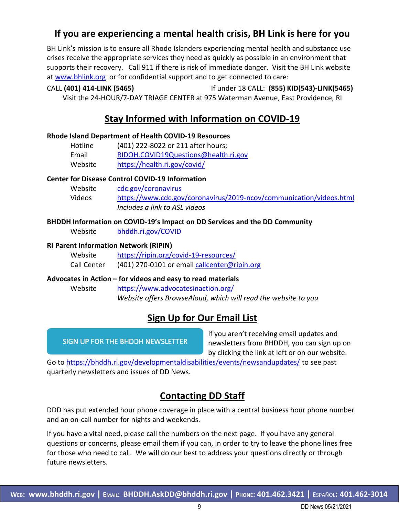## **If you are experiencing a mental health crisis, BH Link is here for you**

BH Link's mission is to ensure all Rhode Islanders experiencing mental health and substance use crises receive the appropriate services they need as quickly as possible in an environment that supports their recovery. Call 911 if there is risk of immediate danger. Visit the BH Link website at [www.bhlink.org](http://www.bhlink.org/) or for confidential support and to get connected to care:

#### CALL **(401) 414-LINK (5465)** If under 18 CALL: **(855) KID(543)-LINK(5465)** Visit the 24-HOUR/7-DAY TRIAGE CENTER at 975 Waterman Avenue, East Providence, RI

# **Stay Informed with Information on COVID-19**

#### **Rhode Island Department of Health COVID-19 Resources**

| Hotline | (401) 222-8022 or 211 after hours;   |
|---------|--------------------------------------|
| Email   | RIDOH.COVID19Questions@health.ri.gov |
| Website | https://health.ri.gov/covid/         |

#### **Center for Disease Control COVID-19 Information**

| Website | cdc.gov/coronavirus                                                 |
|---------|---------------------------------------------------------------------|
| Videos  | https://www.cdc.gov/coronavirus/2019-ncov/communication/videos.html |
|         | Includes a link to ASL videos                                       |

#### **BHDDH Information on COVID-19's Impact on DD Services and the DD Community**

Website [bhddh.ri.gov/COVID](http://www.bhddh.ri.gov/COVID)

#### **RI Parent Information Network (RIPIN)**

| Website     | https://ripin.org/covid-19-resources/        |
|-------------|----------------------------------------------|
| Call Center | (401) 270-0101 or email callcenter@ripin.org |

#### **Advocates in Action – for videos and easy to read materials**

Website <https://www.advocatesinaction.org/> *Website offers BrowseAloud, which will read the website to you*

### **Sign Up for Our Email List**

SIGN UP FOR THE BHDDH NEWSLETTER

If you aren't receiving email updates and newsletters from BHDDH, you can sign up on by clicking the link at left or on our website.

Go to <https://bhddh.ri.gov/developmentaldisabilities/events/newsandupdates/> to see past quarterly newsletters and issues of DD News.

### **Contacting DD Staff**

DDD has put extended hour phone coverage in place with a central business hour phone number and an on-call number for nights and weekends.

If you have a vital need, please call the numbers on the next page. If you have any general questions or concerns, please email them if you can, in order to try to leave the phone lines free for those who need to call. We will do our best to address your questions directly or through future newsletters.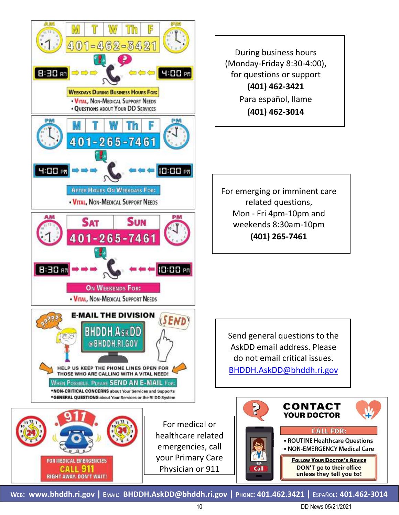

During business hours (Monday-Friday 8:30-4:00), for questions or support **(401) 462-3421** Para español, llame **(401) 462-3014**

For emerging or imminent care related questions, Mon - Fri 4pm-10pm and weekends 8:30am-10pm **(401) 265-7461**

Send general questions to the AskDD email address. Please do not email critical issues. [BHDDH.AskDD@bhddh.ri.gov](mailto:BHDDH.AskDD@bhddh.ri.gov)



**WEB: [www.bhddh.ri.gov](http://www.bhddh.ri.gov/) | EMAIL: [BHDDH.AskDD@bhddh.ri.gov](mailto:BHDDH.AskDD@bhddh.ri.gov) | PHONE: 401.462.3421 |** ESPAÑOL**: 401.462-3014**